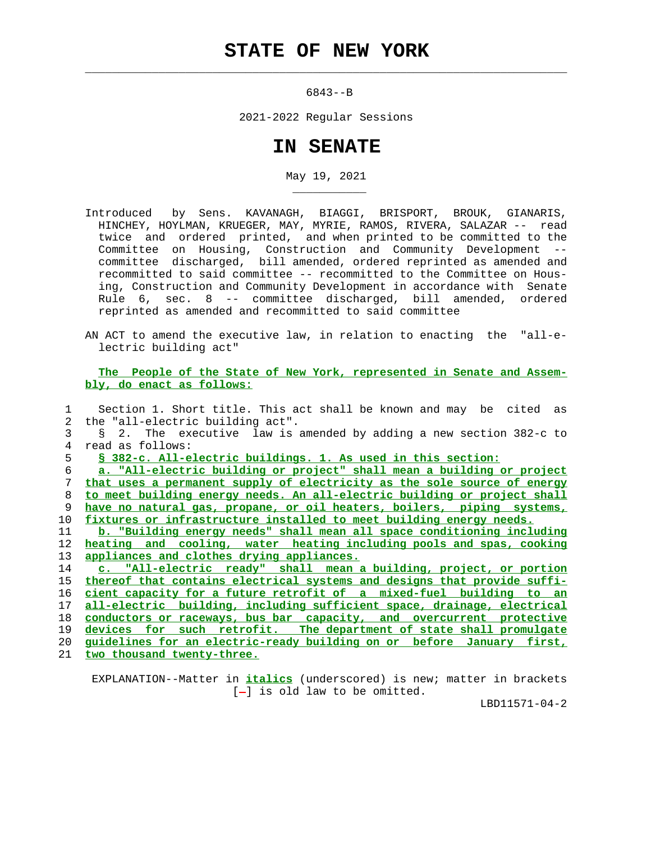## **STATE OF NEW YORK**

 $\mathcal{L}_\text{max} = \frac{1}{2} \sum_{i=1}^{n} \frac{1}{2} \sum_{i=1}^{n} \frac{1}{2} \sum_{i=1}^{n} \frac{1}{2} \sum_{i=1}^{n} \frac{1}{2} \sum_{i=1}^{n} \frac{1}{2} \sum_{i=1}^{n} \frac{1}{2} \sum_{i=1}^{n} \frac{1}{2} \sum_{i=1}^{n} \frac{1}{2} \sum_{i=1}^{n} \frac{1}{2} \sum_{i=1}^{n} \frac{1}{2} \sum_{i=1}^{n} \frac{1}{2} \sum_{i=1}^{n} \frac{1$ 

\_\_\_\_\_\_\_\_\_\_\_

6843--B

2021-2022 Regular Sessions

## **IN SENATE**

May 19, 2021

 Introduced by Sens. KAVANAGH, BIAGGI, BRISPORT, BROUK, GIANARIS, HINCHEY, HOYLMAN, KRUEGER, MAY, MYRIE, RAMOS, RIVERA, SALAZAR -- read twice and ordered printed, and when printed to be committed to the Committee on Housing, Construction and Community Development - committee discharged, bill amended, ordered reprinted as amended and recommitted to said committee -- recommitted to the Committee on Hous ing, Construction and Community Development in accordance with Senate Rule 6, sec. 8 -- committee discharged, bill amended, ordered reprinted as amended and recommitted to said committee

 AN ACT to amend the executive law, in relation to enacting the "all-e lectric building act"

 **The People of the State of New York, represented in Senate and Assem bly, do enact as follows:**

 1 Section 1. Short title. This act shall be known and may be cited as 2 the "all-electric building act". 3 § 2. The executive law is amended by adding a new section 382-c to 4 read as follows: **§ 382-c. All-electric buildings. 1. As used in this section: a. "All-electric building or project" shall mean a building or project that uses a permanent supply of electricity as the sole source of energy to meet building energy needs. An all-electric building or project shall have no natural gas, propane, or oil heaters, boilers, piping systems, fixtures or infrastructure installed to meet building energy needs. b. "Building energy needs" shall mean all space conditioning including heating and cooling, water heating including pools and spas, cooking appliances and clothes drying appliances. c. "All-electric ready" shall mean a building, project, or portion thereof that contains electrical systems and designs that provide suffi- cient capacity for a future retrofit of a mixed-fuel building to an all-electric building, including sufficient space, drainage, electrical conductors or raceways, bus bar capacity, and overcurrent protective devices for such retrofit. The department of state shall promulgate guidelines for an electric-ready building on or before January first, two thousand twenty-three.**

 EXPLANATION--Matter in **italics** (underscored) is new; matter in brackets  $[-]$  is old law to be omitted.

LBD11571-04-2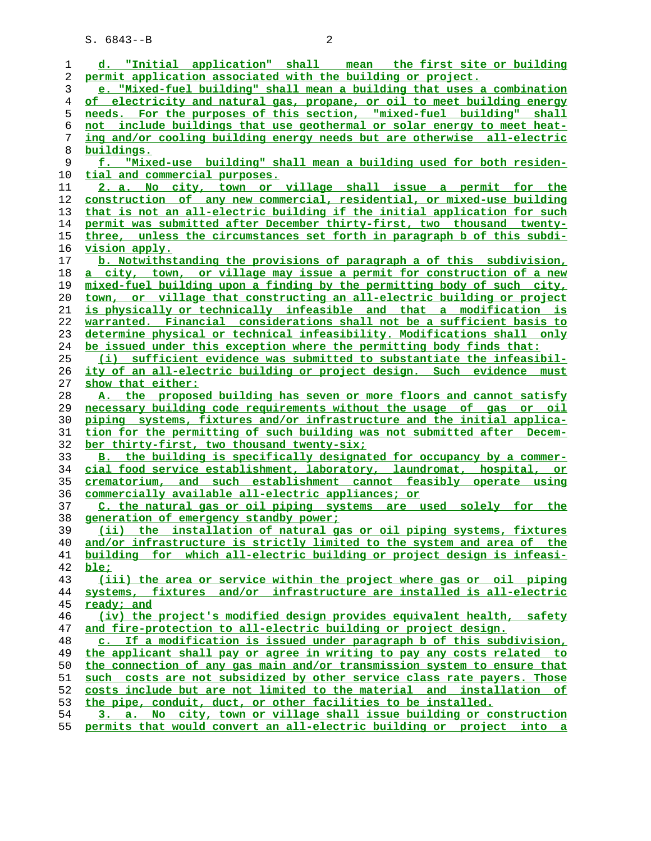S. 6843--B 2

|    | d. "Initial application" shall mean the first site or building                |
|----|-------------------------------------------------------------------------------|
| 1  |                                                                               |
| 2  | permit application associated with the building or project.                   |
| 3  | e. "Mixed-fuel building" shall mean a building that uses a combination        |
| 4  | of electricity and natural gas, propane, or oil to meet building energy       |
| 5  | needs. For the purposes of this section, "mixed-fuel building" shall          |
| 6  | not include buildings that use geothermal or solar energy to meet heat-       |
| 7  | ing and/or cooling building energy needs but are otherwise all-electric       |
| 8  | buildings.                                                                    |
| 9  | f. "Mixed-use building" shall mean a building used for both residen-          |
| 10 | tial and commercial purposes.                                                 |
| 11 | 2. a. No city, town or village shall issue a permit for the                   |
| 12 | <u>construction of any new commercial, residential, or mixed-use building</u> |
| 13 | that is not an all-electric building if the initial application for such      |
| 14 | permit was submitted after December thirty-first, two thousand twenty-        |
| 15 | three, unless the circumstances set forth in paragraph b of this subdi-       |
| 16 | <u>vision apply.</u>                                                          |
| 17 | b. Notwithstanding the provisions of paragraph a of this subdivision,         |
| 18 | a city, town, or village may issue a permit for construction of a new         |
| 19 | mixed-fuel building upon a finding by the permitting body of such city,       |
| 20 | town, or village that constructing an all-electric building or project        |
| 21 | is physically or technically infeasible and that a modification is            |
| 22 | warranted. Financial considerations shall not be a sufficient basis to        |
| 23 | determine physical or technical infeasibility. Modifications shall only       |
| 24 | be issued under this exception where the permitting body finds that:          |
| 25 | (i) sufficient evidence was submitted to substantiate the infeasibil-         |
| 26 | ity of an all-electric building or project design. Such evidence must         |
| 27 | show that either:                                                             |
| 28 | A. the proposed building has seven or more floors and cannot satisfy          |
| 29 | necessary building code requirements without the usage of gas or oil          |
| 30 | piping systems, fixtures and/or infrastructure and the initial applica-       |
| 31 | tion for the permitting of such building was not submitted after Decem-       |
| 32 | ber thirty-first, two thousand twenty-six;                                    |
| 33 | B. the building is specifically designated for occupancy by a commer-         |
| 34 | cial food service establishment, laboratory, laundromat, hospital, or         |
| 35 | crematorium, and such establishment cannot feasibly operate using             |
| 36 | commercially available all-electric appliances; or                            |
| 37 | C. the natural gas or oil piping systems are used solely for the              |
| 38 | generation of emergency standby power;                                        |
| 39 | (ii) the installation of natural gas or oil piping systems, fixtures          |
| 40 | and/or infrastructure is strictly limited to the system and area of the       |
| 41 | building for which all-electric building or project design is infeasi-        |
| 42 | ble:                                                                          |
| 43 | (iii) the area or service within the project where gas or oil piping          |
| 44 | systems, fixtures and/or infrastructure are installed is all-electric         |
| 45 | ready; and                                                                    |
| 46 | (iv) the project's modified design provides equivalent health, safety         |
| 47 | and fire-protection to all-electric building or project design.               |
| 48 | c. If a modification is issued under paragraph b of this subdivision,         |
| 49 | the applicant shall pay or agree in writing to pay any costs related to       |
| 50 | the connection of any gas main and/or transmission system to ensure that      |
| 51 | such costs are not subsidized by other service class rate payers. Those       |
| 52 | costs include but are not limited to the material and installation of         |
| 53 | the pipe, conduit, duct, or other facilities to be installed.                 |
| 54 | 3. a. No city, town or village shall issue building or construction           |
| 55 | permits that would convert an all-electric building or project into a         |